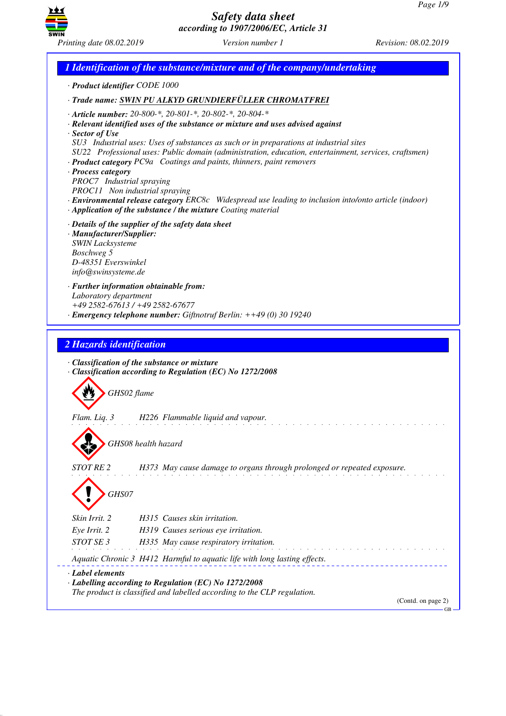

*1 Identification of the substance/mixture and of the company/undertaking · Product identifier CODE 1000 · Trade name: SWIN PU ALKYD GRUNDIERFÜLLER CHROMATFREI · Article number: 20-800-\*, 20-801-\*, 20-802-\*, 20-804-\* · Relevant identified uses of the substance or mixture and uses advised against · Sector of Use SU3 Industrial uses: Uses of substances as such or in preparations at industrial sites SU22 Professional uses: Public domain (administration, education, entertainment, services, craftsmen) · Product category PC9a Coatings and paints, thinners, paint removers · Process category PROC7 Industrial spraying PROC11 Non industrial spraying · Environmental release category ERC8c Widespread use leading to inclusion into/onto article (indoor) · Application of the substance / the mixture Coating material · Details of the supplier of the safety data sheet · Manufacturer/Supplier: SWIN Lacksysteme Boschweg 5 D-48351 Everswinkel info@swinsysteme.de · Further information obtainable from: Laboratory department +49 2582-67613 / +49 2582-67677 · Emergency telephone number: Giftnotruf Berlin: ++49 (0) 30 19240 2 Hazards identification · Classification of the substance or mixture · Classification according to Regulation (EC) No 1272/2008* d~*GHS02 flame Flam. Liq. 3 H226 Flammable liquid and vapour.* d~*GHS08 health hazard STOT RE 2 H373 May cause damage to organs through prolonged or repeated exposure.* d~*GHS07 Skin Irrit. 2 H315 Causes skin irritation. Eye Irrit. 2 H319 Causes serious eye irritation. STOT SE 3 H335 May cause respiratory irritation. Aquatic Chronic 3 H412 Harmful to aquatic life with long lasting effects. · Label elements · Labelling according to Regulation (EC) No 1272/2008 The product is classified and labelled according to the CLP regulation.* (Contd. on page 2) GB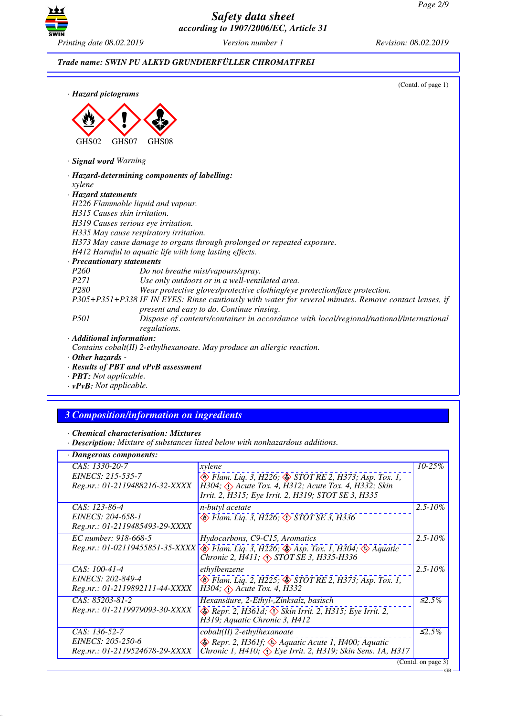

## *Trade name: SWIN PU ALKYD GRUNDIERFÜLLER CHROMATFREI*

| · Hazard pictograms       | (Contd. of page 1)                                                                                                                                 |
|---------------------------|----------------------------------------------------------------------------------------------------------------------------------------------------|
| GHS02                     | GHS07<br>GHS <sub>08</sub>                                                                                                                         |
| · Signal word Warning     |                                                                                                                                                    |
|                           | · Hazard-determining components of labelling:                                                                                                      |
| xylene                    |                                                                                                                                                    |
| · Hazard statements       |                                                                                                                                                    |
|                           | H226 Flammable liquid and vapour.                                                                                                                  |
|                           | H315 Causes skin irritation.                                                                                                                       |
|                           | H319 Causes serious eye irritation.                                                                                                                |
|                           | H335 May cause respiratory irritation.                                                                                                             |
|                           | H373 May cause damage to organs through prolonged or repeated exposure.                                                                            |
|                           | H412 Harmful to aquatic life with long lasting effects.                                                                                            |
|                           | · Precautionary statements                                                                                                                         |
| P <sub>260</sub>          | Do not breathe mist/vapours/spray.                                                                                                                 |
| <i>P271</i>               | Use only outdoors or in a well-ventilated area.                                                                                                    |
| P <sub>280</sub>          | Wear protective gloves/protective clothing/eye protection/face protection.                                                                         |
|                           | P305+P351+P338 IF IN EYES: Rinse cautiously with water for several minutes. Remove contact lenses, if<br>present and easy to do. Continue rinsing. |
| <i>P501</i>               | Dispose of contents/container in accordance with local/regional/national/international<br>regulations.                                             |
| · Additional information: |                                                                                                                                                    |
|                           | Contains cobalt(II) 2-ethylhexanoate. May produce an allergic reaction.                                                                            |
| $\cdot$ Other hazards -   |                                                                                                                                                    |
|                           | · Results of PBT and vPvB assessment                                                                                                               |
|                           |                                                                                                                                                    |

- *· PBT: Not applicable.*
- *· vPvB: Not applicable.*

# *3 Composition/information on ingredients*

*· Chemical characterisation: Mixtures*

*· Description: Mixture of substances listed below with nonhazardous additions.*

#### *· Dangerous components:*

| · Dangerous components:         |                                                                                                                                              |                              |  |
|---------------------------------|----------------------------------------------------------------------------------------------------------------------------------------------|------------------------------|--|
| CAS: 1330-20-7                  | xylene                                                                                                                                       | $10 - 25\%$                  |  |
| EINECS: 215-535-7               | B Flam. Liq. 3, H226; STOT RE 2, H373; Asp. Tox. 1,                                                                                          |                              |  |
| Reg.nr.: 01-2119488216-32-XXXX  | $\hat{H}$ 304; $\langle \cdot \rangle$ Acute Tox. 4, $\hat{H}$ 312; Acute Tox. 4, H332; Skin                                                 |                              |  |
|                                 | Irrit. 2, H315; Eye Irrit. 2, H319; STOT SE 3, H335                                                                                          |                              |  |
| CAS: 123-86-4                   | n-butyl acetate                                                                                                                              | $2.5 - 10\%$                 |  |
| EINECS: 204-658-1               | $\circledast$ Flam. Liq. 3, H226; $\circledast$ STOT SE 3, H336                                                                              |                              |  |
| Reg.nr.: 01-2119485493-29-XXXX  |                                                                                                                                              |                              |  |
| EC number: 918-668-5            | Hydocarbons, C9-C15, Aromatics                                                                                                               | $2.5 - 10\%$                 |  |
| Reg.nr.: 01-02119455851-35-XXXX | $\circledast$ Flam. Liq. 3, H226; $\circledast$ Asp. Tox. 1, H304; $\circledast$ Aquatic Chronic 2, H411; $\circledast$ STOT SE 3, H335-H336 |                              |  |
|                                 |                                                                                                                                              |                              |  |
| CAS: 100-41-4                   | ethylbenzene                                                                                                                                 | $2.5 - 10\%$                 |  |
| EINECS: 202-849-4               | ◈ Flam. Liq. 2, H225; ♦ STOT RE 2, H373; Asp. Tox. 1,                                                                                        |                              |  |
| Reg.nr.: 01-2119892111-44-XXXX  | $H304$ , $\Diamond$ Acute Tox. 4, H332                                                                                                       |                              |  |
| CAS: 85203-81-2                 | Hexansäure, 2-Ethyl-, Zinksalz, basisch                                                                                                      | $\overline{\mathcal{L}}$ .5% |  |
| Reg.nr.: 01-2119979093-30-XXXX  | $\otimes$ Repr. 2, H361d; $\otimes$ Skin Irrit. 2, H315; Eye Irrit. 2,                                                                       |                              |  |
|                                 | H319; Aquatic Chronic 3, H412                                                                                                                |                              |  |
| CAS: 136-52-7                   | $\mathit{cobalt}(II)$ 2-ethylhexanoate                                                                                                       | $\mathcal{L}2.5\%$           |  |
| EINECS: 205-250-6               | $\leftrightarrow$ Repr. 2, H361f; $\leftrightarrow$ Aquatic Acute 1, H400; Aquatic                                                           |                              |  |
| Reg.nr.: 01-2119524678-29-XXXX  | Chronic 1, H410, $\overline{Q}$ Eye Irrit. 2, H319; Skin Sens. 1A, H317                                                                      |                              |  |
|                                 |                                                                                                                                              | (Contd. on page 3)           |  |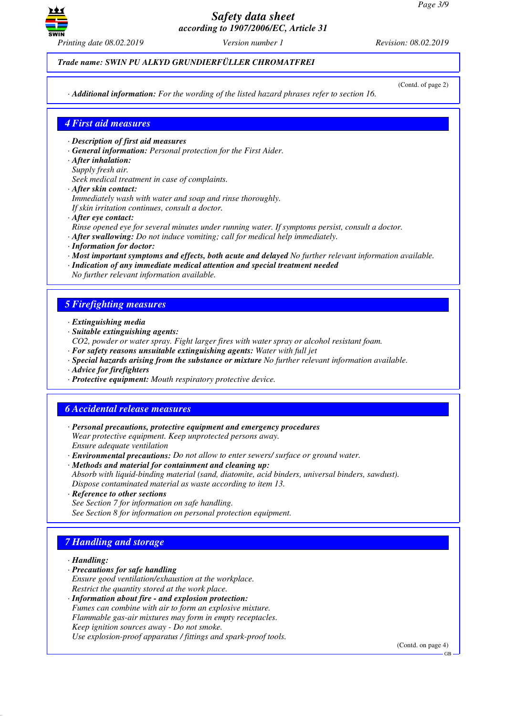

### *Trade name: SWIN PU ALKYD GRUNDIERFÜLLER CHROMATFREI*

(Contd. of page 2)

*· Additional information: For the wording of the listed hazard phrases refer to section 16.*

### *4 First aid measures*

- *· Description of first aid measures*
- *· General information: Personal protection for the First Aider.*
- *· After inhalation:*
- *Supply fresh air.*
- *Seek medical treatment in case of complaints.*
- *· After skin contact:*
- *Immediately wash with water and soap and rinse thoroughly. If skin irritation continues, consult a doctor.*
- *· After eye contact:*
- *Rinse opened eye for several minutes under running water. If symptoms persist, consult a doctor.*
- *· After swallowing: Do not induce vomiting; call for medical help immediately.*
- *· Information for doctor:*
- *· Most important symptoms and effects, both acute and delayed No further relevant information available.*
- *· Indication of any immediate medical attention and special treatment needed No further relevant information available.*

### *5 Firefighting measures*

- *· Extinguishing media*
- *· Suitable extinguishing agents:*
- *CO2, powder or water spray. Fight larger fires with water spray or alcohol resistant foam.*
- *· For safety reasons unsuitable extinguishing agents: Water with full jet*
- *· Special hazards arising from the substance or mixture No further relevant information available.*
- *· Advice for firefighters*
- *· Protective equipment: Mouth respiratory protective device.*

## *6 Accidental release measures*

- *· Personal precautions, protective equipment and emergency procedures Wear protective equipment. Keep unprotected persons away. Ensure adequate ventilation*
- *· Environmental precautions: Do not allow to enter sewers/ surface or ground water.*
- *· Methods and material for containment and cleaning up: Absorb with liquid-binding material (sand, diatomite, acid binders, universal binders, sawdust). Dispose contaminated material as waste according to item 13.*
- *· Reference to other sections See Section 7 for information on safe handling. See Section 8 for information on personal protection equipment.*

## *7 Handling and storage*

#### *· Handling:*

- *· Precautions for safe handling*
- *Ensure good ventilation/exhaustion at the workplace. Restrict the quantity stored at the work place.*
- *· Information about fire and explosion protection: Fumes can combine with air to form an explosive mixture. Flammable gas-air mixtures may form in empty receptacles. Keep ignition sources away - Do not smoke. Use explosion-proof apparatus / fittings and spark-proof tools.*

(Contd. on page 4)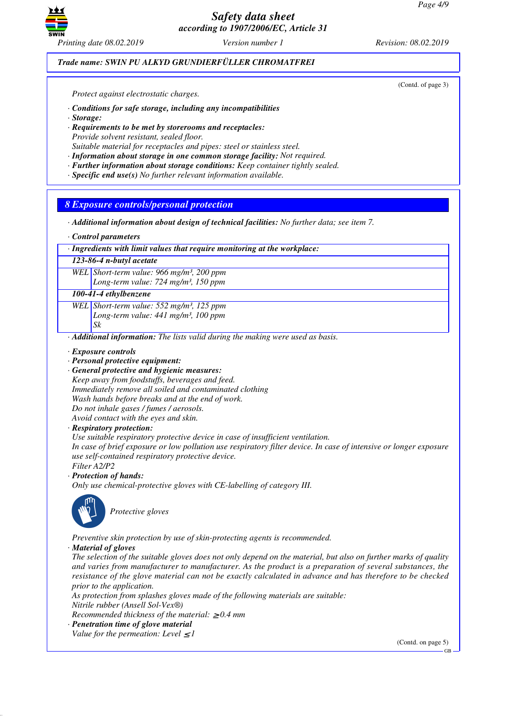

*Printing date 08.02.2019 Version number 1 Revision: 08.02.2019*

### *Trade name: SWIN PU ALKYD GRUNDIERFÜLLER CHROMATFREI*

(Contd. of page 3)

*Protect against electrostatic charges.*

- *· Conditions for safe storage, including any incompatibilities*
- *· Storage:*
- *· Requirements to be met by storerooms and receptacles: Provide solvent resistant, sealed floor.*
- *Suitable material for receptacles and pipes: steel or stainless steel.*
- *· Information about storage in one common storage facility: Not required.*
- *· Further information about storage conditions: Keep container tightly sealed.*
- *· Specific end use(s) No further relevant information available.*

### *8 Exposure controls/personal protection*

- *· Additional information about design of technical facilities: No further data; see item 7.*
- *· Control parameters*

#### *· Ingredients with limit values that require monitoring at the workplace:*

*123-86-4 n-butyl acetate*

*WEL Short-term value: 966 mg/m³, 200 ppm*

*Long-term value: 724 mg/m³, 150 ppm*

## *100-41-4 ethylbenzene*

*WEL Short-term value: 552 mg/m³, 125 ppm Long-term value: 441 mg/m³, 100 ppm Sk*

*· Additional information: The lists valid during the making were used as basis.*

#### *· Exposure controls*

- *· Personal protective equipment:*
- *· General protective and hygienic measures:*

*Keep away from foodstuffs, beverages and feed. Immediately remove all soiled and contaminated clothing Wash hands before breaks and at the end of work. Do not inhale gases / fumes / aerosols. Avoid contact with the eyes and skin.*

#### *· Respiratory protection:*

*Use suitable respiratory protective device in case of insufficient ventilation.*

*In case of brief exposure or low pollution use respiratory filter device. In case of intensive or longer exposure use self-contained respiratory protective device.*

- *Filter A2/P2*
- *· Protection of hands:*
- *Only use chemical-protective gloves with CE-labelling of category III.*



\_S*Protective gloves*

*Preventive skin protection by use of skin-protecting agents is recommended.*

### *· Material of gloves*

*The selection of the suitable gloves does not only depend on the material, but also on further marks of quality and varies from manufacturer to manufacturer. As the product is a preparation of several substances, the resistance of the glove material can not be exactly calculated in advance and has therefore to be checked prior to the application.*

*As protection from splashes gloves made of the following materials are suitable: Nitrile rubber (Ansell Sol-Vex®)*

*Recommended thickness of the material:* ≥ *0.4 mm*

- *· Penetration time of glove material*
- *Value for the permeation: Level*  $\leq$  *I*

(Contd. on page 5)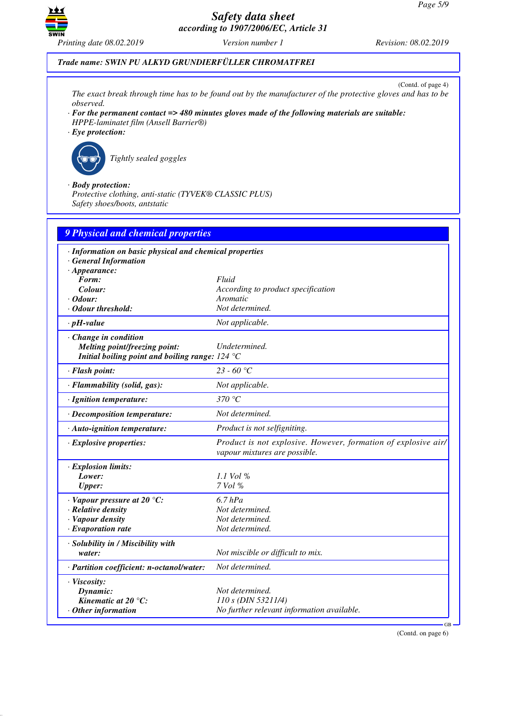

## *Trade name: SWIN PU ALKYD GRUNDIERFÜLLER CHROMATFREI*

(Contd. of page 4)

*The exact break through time has to be found out by the manufacturer of the protective gloves and has to be observed.*

- *· For the permanent contact => 480 minutes gloves made of the following materials are suitable: HPPE-laminatet film (Ansell Barrier®)*
- *· Eye protection:*



\_R*Tightly sealed goggles*

*· Body protection:*

*Protective clothing, anti-static (TYVEK® CLASSIC PLUS) Safety shoes/boots, antstatic*

| <b>9 Physical and chemical properties</b>               |                                                                                                 |
|---------------------------------------------------------|-------------------------------------------------------------------------------------------------|
| · Information on basic physical and chemical properties |                                                                                                 |
| · General Information                                   |                                                                                                 |
| $\cdot$ Appearance:                                     |                                                                                                 |
| Form:                                                   | Fluid                                                                                           |
| Colour:                                                 | According to product specification                                                              |
| $\cdot$ Odour:                                          | Aromatic                                                                                        |
| · Odour threshold:                                      | Not determined.                                                                                 |
| $\cdot$ pH-value                                        | Not applicable.                                                                                 |
| · Change in condition                                   |                                                                                                 |
| Melting point/freezing point:                           | Undetermined.                                                                                   |
| Initial boiling point and boiling range: $124 °C$       |                                                                                                 |
| · Flash point:                                          | $23 - 60$ °C                                                                                    |
| · Flammability (solid, gas):                            | Not applicable.                                                                                 |
| · Ignition temperature:                                 | 370 $\degree$ C                                                                                 |
| $\cdot$ Decomposition temperature:                      | Not determined.                                                                                 |
| $\cdot$ Auto-ignition temperature:                      | Product is not selfigniting.                                                                    |
| $\cdot$ Explosive properties:                           | Product is not explosive. However, formation of explosive air/<br>vapour mixtures are possible. |
| · Explosion limits:                                     |                                                                                                 |
| Lower:                                                  | $1.1$ Vol %                                                                                     |
| <b>Upper:</b>                                           | $7$ Vol $%$                                                                                     |
| $\cdot$ Vapour pressure at 20 °C:                       | $6.7$ $hPa$                                                                                     |
| · Relative density                                      | Not determined.                                                                                 |
| · Vapour density                                        | Not determined.                                                                                 |
| $\cdot$ Evaporation rate                                | Not determined.                                                                                 |
| · Solubility in / Miscibility with                      |                                                                                                 |
| water:                                                  | Not miscible or difficult to mix.                                                               |
| · Partition coefficient: n-octanol/water:               | Not determined.                                                                                 |
| · Viscosity:                                            |                                                                                                 |
| Dynamic:                                                | Not determined.                                                                                 |
| Kinematic at 20 $^{\circ}$ C:                           | 110 s (DIN 53211/4)                                                                             |
| $\cdot$ Other information                               | No further relevant information available.                                                      |

(Contd. on page 6)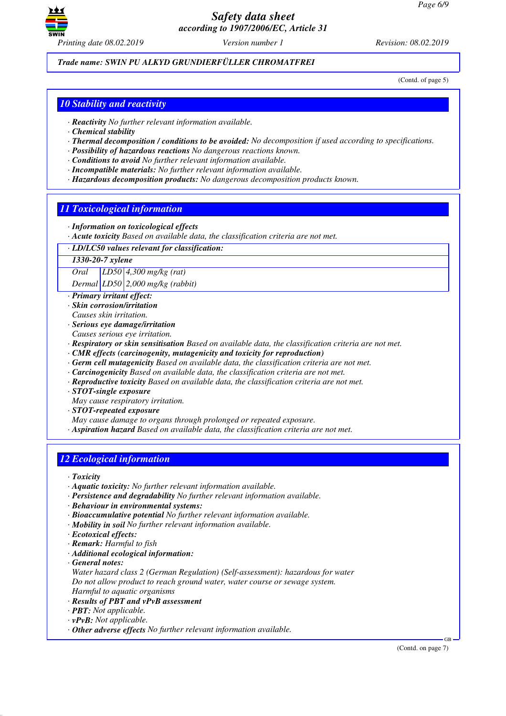

## *Trade name: SWIN PU ALKYD GRUNDIERFÜLLER CHROMATFREI*

(Contd. of page 5)

## *10 Stability and reactivity*

- *· Reactivity No further relevant information available.*
- *· Chemical stability*
- *· Thermal decomposition / conditions to be avoided: No decomposition if used according to specifications.*
- *· Possibility of hazardous reactions No dangerous reactions known.*
- *· Conditions to avoid No further relevant information available.*
- *· Incompatible materials: No further relevant information available.*
- *· Hazardous decomposition products: No dangerous decomposition products known.*

### *11 Toxicological information*

- *· Information on toxicological effects*
- *· Acute toxicity Based on available data, the classification criteria are not met.*
- *· LD/LC50 values relevant for classification:*

*1330-20-7 xylene*

*Oral LD50 4,300 mg/kg (rat)*

*Dermal LD50 2,000 mg/kg (rabbit)*

- *· Primary irritant effect:*
- *· Skin corrosion/irritation*
- *Causes skin irritation.*
- *· Serious eye damage/irritation*
- *Causes serious eye irritation.*
- *· Respiratory or skin sensitisation Based on available data, the classification criteria are not met.*
- *· CMR effects (carcinogenity, mutagenicity and toxicity for reproduction)*
- *· Germ cell mutagenicity Based on available data, the classification criteria are not met.*
- *· Carcinogenicity Based on available data, the classification criteria are not met.*
- *· Reproductive toxicity Based on available data, the classification criteria are not met.*
- *· STOT-single exposure*
- *May cause respiratory irritation.*
- *· STOT-repeated exposure*
- *May cause damage to organs through prolonged or repeated exposure.*
- *· Aspiration hazard Based on available data, the classification criteria are not met.*

## *12 Ecological information*

*· Toxicity*

- *· Aquatic toxicity: No further relevant information available.*
- *· Persistence and degradability No further relevant information available.*
- *· Behaviour in environmental systems:*
- *· Bioaccumulative potential No further relevant information available.*
- *· Mobility in soil No further relevant information available.*
- *· Ecotoxical effects:*
- *· Remark: Harmful to fish*
- *· Additional ecological information:*
- *· General notes:*
- *Water hazard class 2 (German Regulation) (Self-assessment): hazardous for water Do not allow product to reach ground water, water course or sewage system.*
- *Harmful to aquatic organisms*
- *· Results of PBT and vPvB assessment*
- *· PBT: Not applicable.*
- *· vPvB: Not applicable.*
- *· Other adverse effects No further relevant information available.*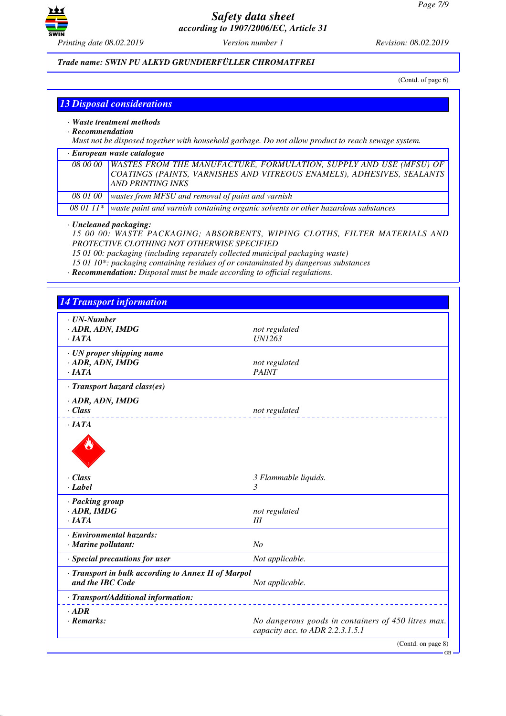

## *Trade name: SWIN PU ALKYD GRUNDIERFÜLLER CHROMATFREI*

(Contd. of page 6)

GB

|  |  | <b>13 Disposal considerations</b> |
|--|--|-----------------------------------|
|  |  |                                   |

- *· Waste treatment methods*
- *· Recommendation*

*Must not be disposed together with household garbage. Do not allow product to reach sewage system.*

| $\cdot$ European waste catalogue |                                                                                                                                                                                     |  |  |
|----------------------------------|-------------------------------------------------------------------------------------------------------------------------------------------------------------------------------------|--|--|
|                                  | 08 00 00   WASTES FROM THE MANUFACTURE, FORMULATION, SUPPLY AND USE (MFSU) OF<br>COATINGS (PAINTS, VARNISHES AND VITREOUS ENAMELS), ADHESIVES, SEALANTS<br><b>AND PRINTING INKS</b> |  |  |
| 08 01 00                         | wastes from MFSU and removal of paint and varnish                                                                                                                                   |  |  |
|                                  | 08 01 11* waste paint and varnish containing organic solvents or other hazardous substances                                                                                         |  |  |
|                                  |                                                                                                                                                                                     |  |  |

### *· Uncleaned packaging:*

*15 00 00: WASTE PACKAGING; ABSORBENTS, WIPING CLOTHS, FILTER MATERIALS AND PROTECTIVE CLOTHING NOT OTHERWISE SPECIFIED*

*15 01 00: packaging (including separately collected municipal packaging waste)*

*15 01 10\*: packaging containing residues of or contaminated by dangerous substances*

*· Recommendation: Disposal must be made according to official regulations.*

| $\cdot$ UN-Number                                                       |                                                                                         |
|-------------------------------------------------------------------------|-----------------------------------------------------------------------------------------|
| $\cdot$ ADR, ADN, IMDG                                                  | not regulated                                                                           |
| $\cdot$ IATA                                                            | <b>UN1263</b>                                                                           |
|                                                                         |                                                                                         |
| · UN proper shipping name<br>· ADR, ADN, IMDG                           | not regulated                                                                           |
| $\cdot$ IATA                                                            | <b>PAINT</b>                                                                            |
| · Transport hazard class(es)                                            |                                                                                         |
| · ADR, ADN, IMDG                                                        |                                                                                         |
| $\cdot$ Class                                                           | not regulated                                                                           |
| $\cdot$ IATA                                                            |                                                                                         |
| $\cdot$ Class<br>· Label                                                | 3 Flammable liquids.<br>3                                                               |
| · Packing group                                                         |                                                                                         |
| $\cdot$ ADR, IMDG                                                       | not regulated                                                                           |
| ·IATA                                                                   | III                                                                                     |
| · Environmental hazards:                                                |                                                                                         |
| $\cdot$ Marine pollutant:                                               | N <sub>o</sub>                                                                          |
| · Special precautions for user                                          | Not applicable.                                                                         |
| · Transport in bulk according to Annex II of Marpol<br>and the IBC Code | Not applicable.                                                                         |
| · Transport/Additional information:                                     |                                                                                         |
| $-$ ADR                                                                 |                                                                                         |
| $\cdot$ Remarks:                                                        | No dangerous goods in containers of 450 litres max.<br>capacity acc. to ADR 2.2.3.1.5.1 |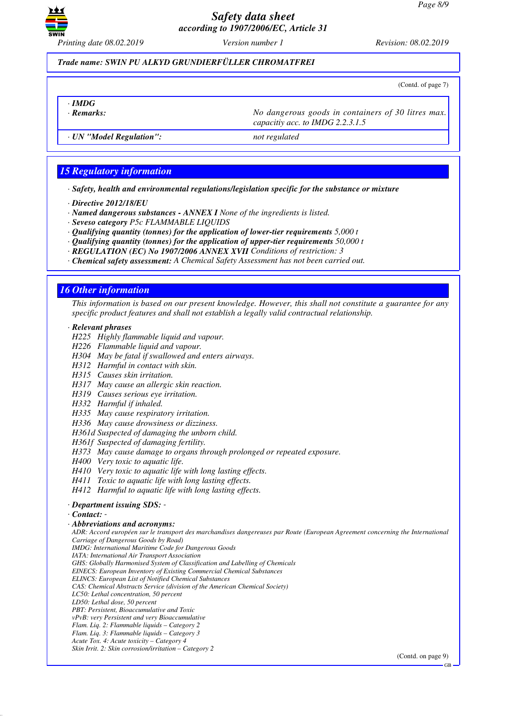

*Trade name: SWIN PU ALKYD GRUNDIERFÜLLER CHROMATFREI*

(Contd. of page 7)

- *· IMDG*
	-

*· Remarks: No dangerous goods in containers of 30 litres max. capacitiy acc. to IMDG 2.2.3.1.5*

*· UN "Model Regulation": not regulated*

## *15 Regulatory information*

*· Safety, health and environmental regulations/legislation specific for the substance or mixture*

- *· Directive 2012/18/EU*
- *· Named dangerous substances ANNEX I None of the ingredients is listed.*
- *· Seveso category P5c FLAMMABLE LIQUIDS*
- *· Qualifying quantity (tonnes) for the application of lower-tier requirements 5,000 t*
- *· Qualifying quantity (tonnes) for the application of upper-tier requirements 50,000 t*
- *· REGULATION (EC) No 1907/2006 ANNEX XVII Conditions of restriction: 3*
- *· Chemical safety assessment: A Chemical Safety Assessment has not been carried out.*

## *16 Other information*

*This information is based on our present knowledge. However, this shall not constitute a guarantee for any specific product features and shall not establish a legally valid contractual relationship.*

#### *· Relevant phrases*

- *H225 Highly flammable liquid and vapour.*
- *H226 Flammable liquid and vapour.*
- *H304 May be fatal if swallowed and enters airways.*
- *H312 Harmful in contact with skin.*
- *H315 Causes skin irritation.*
- *H317 May cause an allergic skin reaction.*
- *H319 Causes serious eye irritation.*
- *H332 Harmful if inhaled.*
- *H335 May cause respiratory irritation.*
- *H336 May cause drowsiness or dizziness.*
- *H361d Suspected of damaging the unborn child.*
- *H361f Suspected of damaging fertility.*
- *H373 May cause damage to organs through prolonged or repeated exposure.*
- *H400 Very toxic to aquatic life.*
- *H410 Very toxic to aquatic life with long lasting effects.*
- *H411 Toxic to aquatic life with long lasting effects.*
- *H412 Harmful to aquatic life with long lasting effects.*

#### *· Department issuing SDS: -*

*· Contact: -* 

#### *· Abbreviations and acronyms:*

*ADR: Accord européen sur le transport des marchandises dangereuses par Route (European Agreement concerning the International Carriage of Dangerous Goods by Road) IMDG: International Maritime Code for Dangerous Goods IATA: International Air Transport Association GHS: Globally Harmonised System of Classification and Labelling of Chemicals EINECS: European Inventory of Existing Commercial Chemical Substances*

- *ELINCS: European List of Notified Chemical Substances*
- *CAS: Chemical Abstracts Service (division of the American Chemical Society) LC50: Lethal concentration, 50 percent*
- *LD50: Lethal dose, 50 percent*
- *PBT: Persistent, Bioaccumulative and Toxic vPvB: very Persistent and very Bioaccumulative*
- *Flam. Liq. 2: Flammable liquids Category 2*
- *Flam. Liq. 3: Flammable liquids Category 3*
- *Acute Tox. 4: Acute toxicity Category 4*
- *Skin Irrit. 2: Skin corrosion/irritation Category 2*

(Contd. on page 9)